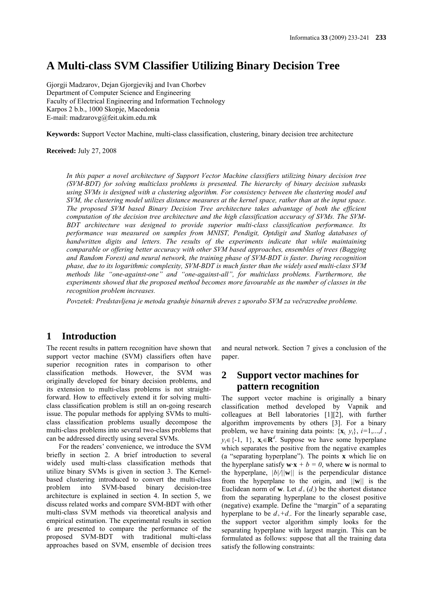# **A Multi-class SVM Classifier Utilizing Binary Decision Tree**

Gjorgji Madzarov, Dejan Gjorgjevikj and Ivan Chorbev Department of Computer Science and Engineering Faculty of Electrical Engineering and Information Technology Karpos 2 b.b., 1000 Skopje, Macedonia E-mail: madzarovg@feit.ukim.edu.mk

**Keywords:** Support Vector Machine, multi-class classification, clustering, binary decision tree architecture

**Received:** July 27, 2008

*In this paper a novel architecture of Support Vector Machine classifiers utilizing binary decision tree (SVM-BDT) for solving multiclass problems is presented. The hierarchy of binary decision subtasks using SVMs is designed with a clustering algorithm. For consistency between the clustering model and SVM, the clustering model utilizes distance measures at the kernel space, rather than at the input space. The proposed SVM based Binary Decision Tree architecture takes advantage of both the efficient computation of the decision tree architecture and the high classification accuracy of SVMs. The SVM-BDT architecture was designed to provide superior multi-class classification performance. Its performance was measured on samples from MNIST, Pendigit, Optdigit and Statlog databases of handwritten digits and letters. The results of the experiments indicate that while maintaining comparable or offering better accuracy with other SVM based approaches, ensembles of trees (Bagging and Random Forest) and neural network, the training phase of SVM-BDT is faster. During recognition phase, due to its logarithmic complexity, SVM-BDT is much faster than the widely used multi-class SVM methods like "one-against-one" and "one-against-all", for multiclass problems. Furthermore, the experiments showed that the proposed method becomes more favourable as the number of classes in the recognition problem increases.*

*Povzetek: Predstavljena je metoda gradnje binarnih dreves z uporabo SVM za večrazredne probleme.*

### **1 Introduction**

The recent results in pattern recognition have shown that support vector machine (SVM) classifiers often have superior recognition rates in comparison to other classification methods. However, the SVM was originally developed for binary decision problems, and its extension to multi-class problems is not straightforward. How to effectively extend it for solving multiclass classification problem is still an on-going research issue. The popular methods for applying SVMs to multiclass classification problems usually decompose the multi-class problems into several two-class problems that can be addressed directly using several SVMs.

For the readers' convenience, we introduce the SVM briefly in section 2. A brief introduction to several widely used multi-class classification methods that utilize binary SVMs is given in section 3. The Kernelbased clustering introduced to convert the multi-class problem into SVM-based binary decision-tree architecture is explained in section 4. In section 5, we discuss related works and compare SVM-BDT with other multi-class SVM methods via theoretical analysis and empirical estimation. The experimental results in section 6 are presented to compare the performance of the proposed SVM-BDT with traditional multi-class approaches based on SVM, ensemble of decision trees

and neural network. Section 7 gives a conclusion of the paper.

## **2 Support vector machines for pattern recognition**

The support vector machine is originally a binary classification method developed by Vapnik and colleagues at Bell laboratories [1][2], with further algorithm improvements by others [3]. For a binary problem, we have training data points:  $\{x_i, y_i\}$ ,  $i=1,...,l$ ,  $y_i \in \{-1, 1\}$ ,  $\mathbf{x}_i \in \mathbb{R}^d$ . Suppose we have some hyperplane which separates the positive from the negative examples (a "separating hyperplane"). The points **x** which lie on the hyperplane satisfy  $\mathbf{w}\cdot\mathbf{x} + b = 0$ , where **w** is normal to the hyperplane,  $|b|/||w||$  is the perpendicular distance from the hyperplane to the origin, and *||***w***||* is the Euclidean norm of **w**. Let  $d_{+}(d_{-})$  be the shortest distance from the separating hyperplane to the closest positive (negative) example. Define the "margin" of a separating hyperplane to be  $d_{+}+d_{-}$ . For the linearly separable case, the support vector algorithm simply looks for the separating hyperplane with largest margin. This can be formulated as follows: suppose that all the training data satisfy the following constraints: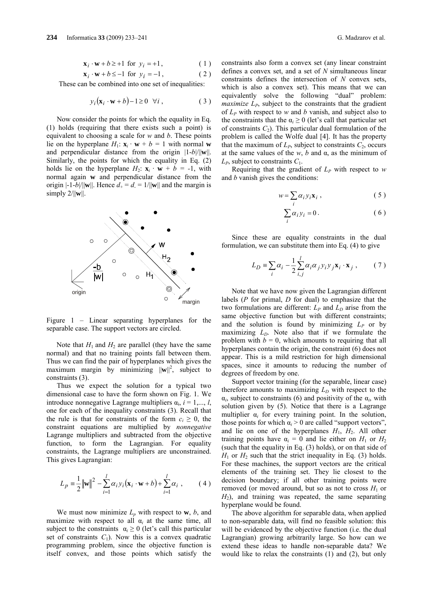$$
\mathbf{x}_i \cdot \mathbf{w} + b \ge 1 \text{ for } y_i = +1,
$$
 (1)

$$
\mathbf{x}_i \cdot \mathbf{w} + b \le -1 \text{ for } y_i = -1,
$$
 (2)

These can be combined into one set of inequalities:

$$
y_i(\mathbf{x}_i \cdot \mathbf{w} + b) - 1 \ge 0 \quad \forall i \tag{3}
$$

Now consider the points for which the equality in Eq. (1) holds (requiring that there exists such a point) is equivalent to choosing a scale for *w* and *b*. These points lie on the hyperplane  $H_1$ :  $\mathbf{x}_i \cdot \mathbf{w} + b = 1$  with normal **w** and perpendicular distance from the origin |1-*b*|/||**w**||. Similarly, the points for which the equality in Eq. (2) holds lie on the hyperplane  $H_2$ :  $\mathbf{x}_i \cdot \mathbf{w} + b = -1$ , with normal again **w** and perpendicular distance from the origin  $|-1-b|/||w||$ . Hence  $d_+ = d_- = 1/||w||$  and the margin is simply  $2/||w||$ .



Figure 1 – Linear separating hyperplanes for the separable case. The support vectors are circled.

Note that  $H_1$  and  $H_2$  are parallel (they have the same normal) and that no training points fall between them. Thus we can find the pair of hyperplanes which gives the maximum margin by minimizing  $\|\mathbf{w}\|^2$ , subject to constraints (3).

Thus we expect the solution for a typical two dimensional case to have the form shown on Fig. 1. We introduce nonnegative Lagrange multipliers  $\alpha_i$ ,  $i = 1, \ldots, l$ , one for each of the inequality constraints (3). Recall that the rule is that for constraints of the form  $c_i \geq 0$ , the constraint equations are multiplied by *nonnegative* Lagrange multipliers and subtracted from the objective function, to form the Lagrangian. For equality constraints, the Lagrange multipliers are unconstrained. This gives Lagrangian:

$$
L_p = \frac{1}{2} ||\mathbf{w}||^2 - \sum_{i=1}^{l} \alpha_i y_i (\mathbf{x}_i \cdot \mathbf{w} + b) + \sum_{i=1}^{l} \alpha_i , \qquad (4)
$$

We must now minimize  $L_p$  with respect to **w**, *b*, and maximize with respect to all  $\alpha_i$  at the same time, all subject to the constraints  $\alpha_i \geq 0$  (let's call this particular set of constraints  $C_1$ ). Now this is a convex quadratic programming problem, since the objective function is itself convex, and those points which satisfy the

constraints also form a convex set (any linear constraint defines a convex set, and a set of *N* simultaneous linear constraints defines the intersection of *N* convex sets, which is also a convex set). This means that we can equivalently solve the following "dual" problem: *maximize L<sub>P</sub>*, subject to the constraints that the gradient of *LP* with respect to *w* and *b* vanish, and subject also to the constraints that the  $\alpha_i \geq 0$  (let's call that particular set of constraints  $C_2$ ). This particular dual formulation of the problem is called the Wolfe dual [4]. It has the property that the maximum of  $L_P$ , subject to constraints  $C_2$ , occurs at the same values of the *w*, *b* and α, as the minimum of  $L_p$ , subject to constraints  $C_1$ .

Requiring that the gradient of  $L_P$  with respect to *w* and *b* vanish gives the conditions:

$$
w = \sum_{i} \alpha_{i} y_{i} \mathbf{x}_{i} , \qquad (5)
$$

$$
\sum_{i} \alpha_{i} y_{i} = 0.
$$
 (6)

Since these are equality constraints in the dual formulation, we can substitute them into Eq. (4) to give

$$
L_D \equiv \sum_i \alpha_i - \frac{1}{2} \sum_{i,j}^{l} \alpha_i \alpha_j y_i y_j \mathbf{x}_i \cdot \mathbf{x}_j , \qquad (7)
$$

Note that we have now given the Lagrangian different labels (*P* for primal, *D* for dual) to emphasize that the two formulations are different:  $L_P$  and  $L_D$  arise from the same objective function but with different constraints; and the solution is found by minimizing  $L_p$  or by maximizing  $L<sub>D</sub>$ . Note also that if we formulate the problem with  $b = 0$ , which amounts to requiring that all hyperplanes contain the origin, the constraint (6) does not appear. This is a mild restriction for high dimensional spaces, since it amounts to reducing the number of degrees of freedom by one.

Support vector training (for the separable, linear case) therefore amounts to maximizing  $L<sub>D</sub>$  with respect to the  $\alpha_i$ , subject to constraints (6) and positivity of the  $\alpha_i$ , with solution given by (5). Notice that there is a Lagrange multiplier  $\alpha_i$  for every training point. In the solution, those points for which  $\alpha_i > 0$  are called "support vectors", and lie on one of the hyperplanes  $H_1$ ,  $H_2$ . All other training points have  $\alpha_i = 0$  and lie either on  $H_1$  or  $H_2$ (such that the equality in Eq. (3) holds), or on that side of  $H_1$  or  $H_2$  such that the strict inequality in Eq. (3) holds. For these machines, the support vectors are the critical elements of the training set. They lie closest to the decision boundary; if all other training points were removed (or moved around, but so as not to cross  $H_1$  or  $H_2$ ), and training was repeated, the same separating hyperplane would be found.

The above algorithm for separable data, when applied to non-separable data, will find no feasible solution: this will be evidenced by the objective function (i.e. the dual Lagrangian) growing arbitrarily large. So how can we extend these ideas to handle non-separable data? We would like to relax the constraints (1) and (2), but only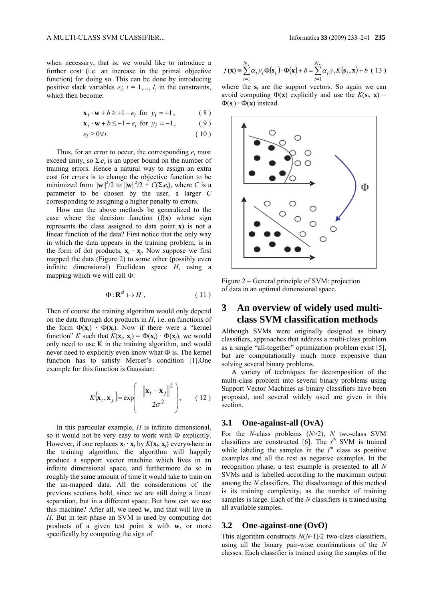when necessary, that is, we would like to introduce a further cost (i.e. an increase in the primal objective function) for doing so. This can be done by introducing positive slack variables  $e_i$ ;  $i = 1,..., l$ , in the constraints, which then become:

$$
\mathbf{x}_i \cdot \mathbf{w} + b \ge +1 - e_i \text{ for } y_i = +1,
$$
 (8)

$$
\mathbf{x}_i \cdot \mathbf{w} + b \le -1 + e_i \text{ for } y_i = -1,
$$
 (9)

$$
e_i \ge 0 \forall i. \tag{10}
$$

Thus, for an error to occur, the corresponding  $e_i$  must exceed unity, so  $\Sigma_i e_i$  is an upper bound on the number of training errors. Hence a natural way to assign an extra cost for errors is to change the objective function to be minimized from  $||\mathbf{w}||^2/2$  to  $||\mathbf{w}||^2/2 + C(\Sigma_i e_i)$ , where *C* is a parameter to be chosen by the user, a larger *C* corresponding to assigning a higher penalty to errors.

How can the above methods be generalized to the case where the decision function  $(f(x))$  whose sign represents the class assigned to data point **x**) is not a linear function of the data? First notice that the only way in which the data appears in the training problem, is in the form of dot products,  $\mathbf{x}_i \cdot \mathbf{x}_j$ . Now suppose we first mapped the data (Figure 2) to some other (possibly even infinite dimensional) Euclidean space *H*, using a mapping which we will call Ф:

$$
\Phi: \mathbf{R}^d \mapsto H \,, \tag{11}
$$

 Then of course the training algorithm would only depend on the data through dot products in *H*, i.e. on functions of the form  $\Phi(\mathbf{x}_i) \cdot \Phi(\mathbf{x}_i)$ . Now if there were a "kernel function" *K* such that  $K(\mathbf{x}_i, \mathbf{x}_j) = \Phi(\mathbf{x}_i) \cdot \Phi(\mathbf{x}_j)$ , we would only need to use K in the training algorithm, and would never need to explicitly even know what  $\Phi$  is. The kernel function has to satisfy Mercer's condition [1].One example for this function is Gaussian:

$$
K(\mathbf{x}_i, \mathbf{x}_j) = \exp\left(-\frac{\left\|\mathbf{x}_i - \mathbf{x}_j\right\|^2}{2\sigma^2}\right),\qquad(12)
$$

In this particular example, *H* is infinite dimensional, so it would not be very easy to work with Ф explicitly. However, if one replaces  $\mathbf{x}_i \cdot \mathbf{x}_j$  by  $K(\mathbf{x}_i, \mathbf{x}_j)$  everywhere in the training algorithm, the algorithm will happily produce a support vector machine which lives in an infinite dimensional space, and furthermore do so in roughly the same amount of time it would take to train on the un-mapped data. All the considerations of the previous sections hold, since we are still doing a linear separation, but in a different space. But how can we use this machine? After all, we need **w**, and that will live in *H*. But in test phase an SVM is used by computing dot products of a given test point **x** with **w**, or more specifically by computing the sign of

$$
f(\mathbf{x}) = \sum_{i=1}^{N_s} \alpha_i y_i \Phi(\mathbf{s}_i) \cdot \Phi(\mathbf{x}) + b = \sum_{i=1}^{N_s} \alpha_i y_i K(\mathbf{s}_i, \mathbf{x}) + b
$$
 (13)

where the  $s_i$  are the support vectors. So again we can avoid computing  $\Phi(\mathbf{x})$  explicitly and use the  $K(\mathbf{s}_i, \mathbf{x}) =$  $\Phi(\mathbf{s}_i) \cdot \Phi(\mathbf{x})$  instead.



Figure 2 – General principle of SVM: projection of data in an optimal dimensional space.

## **3 An overview of widely used multiclass SVM classification methods**

Although SVMs were originally designed as binary classifiers, approaches that address a multi-class problem as a single "all-together" optimization problem exist [5], but are computationally much more expensive than solving several binary problems.

A variety of techniques for decomposition of the multi-class problem into several binary problems using Support Vector Machines as binary classifiers have been proposed, and several widely used are given in this section.

#### **3.1 One-against-all (OvA)**

For the *N*-class problems (*N*>2), *N* two-class SVM classifiers are constructed  $[6]$ . The  $i^{th}$  SVM is trained while labeling the samples in the  $i^{th}$  class as positive examples and all the rest as negative examples. In the recognition phase, a test example is presented to all *N* SVMs and is labelled according to the maximum output among the *N* classifiers. The disadvantage of this method is its training complexity, as the number of training samples is large. Each of the *N* classifiers is trained using all available samples.

#### **3.2 One-against-one (OvO)**

This algorithm constructs *N*(*N*-1)/2 two-class classifiers, using all the binary pair-wise combinations of the *N* classes. Each classifier is trained using the samples of the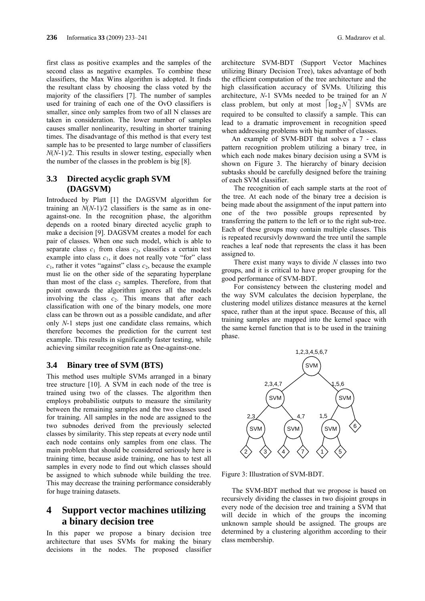first class as positive examples and the samples of the second class as negative examples. To combine these classifiers, the Max Wins algorithm is adopted. It finds the resultant class by choosing the class voted by the majority of the classifiers [7]. The number of samples used for training of each one of the OvO classifiers is smaller, since only samples from two of all N classes are taken in consideration. The lower number of samples causes smaller nonlinearity, resulting in shorter training times. The disadvantage of this method is that every test sample has to be presented to large number of classifiers *N*(*N*-1)/2. This results in slower testing, especially when the number of the classes in the problem is big [8].

### **3.3 Directed acyclic graph SVM (DAGSVM)**

Introduced by Platt [1] the DAGSVM algorithm for training an *N*(*N*-1)/2 classifiers is the same as in oneagainst-one. In the recognition phase, the algorithm depends on a rooted binary directed acyclic graph to make a decision [9]. DAGSVM creates a model for each pair of classes. When one such model, which is able to separate class  $c_1$  from class  $c_2$ , classifies a certain test example into class  $c_1$ , it does not really vote "for" class  $c_1$ , rather it votes "against" class  $c_2$ , because the example must lie on the other side of the separating hyperplane than most of the class  $c_2$  samples. Therefore, from that point onwards the algorithm ignores all the models involving the class  $c_2$ . This means that after each classification with one of the binary models, one more class can be thrown out as a possible candidate, and after only *N*-1 steps just one candidate class remains, which therefore becomes the prediction for the current test example. This results in significantly faster testing, while achieving similar recognition rate as One-against-one.

#### **3.4 Binary tree of SVM (BTS)**

This method uses multiple SVMs arranged in a binary tree structure [10]. A SVM in each node of the tree is trained using two of the classes. The algorithm then employs probabilistic outputs to measure the similarity between the remaining samples and the two classes used for training. All samples in the node are assigned to the two subnodes derived from the previously selected classes by similarity. This step repeats at every node until each node contains only samples from one class. The main problem that should be considered seriously here is training time, because aside training, one has to test all samples in every node to find out which classes should be assigned to which subnode while building the tree. This may decrease the training performance considerably for huge training datasets.

## **4 Support vector machines utilizing a binary decision tree**

In this paper we propose a binary decision tree architecture that uses SVMs for making the binary decisions in the nodes. The proposed classifier architecture SVM-BDT (Support Vector Machines utilizing Binary Decision Tree), takes advantage of both the efficient computation of the tree architecture and the high classification accuracy of SVMs. Utilizing this architecture, *N*-1 SVMs needed to be trained for an *N* class problem, but only at most  $\lceil \log_2 N \rceil$  SVMs are required to be consulted to classify a sample. This can lead to a dramatic improvement in recognition speed when addressing problems with big number of classes.

An example of SVM-BDT that solves a 7 - class pattern recognition problem utilizing a binary tree, in which each node makes binary decision using a SVM is shown on Figure 3. The hierarchy of binary decision subtasks should be carefully designed before the training of each SVM classifier.

The recognition of each sample starts at the root of the tree. At each node of the binary tree a decision is being made about the assignment of the input pattern into one of the two possible groups represented by transferring the pattern to the left or to the right sub-tree. Each of these groups may contain multiple classes. This is repeated recursivly downward the tree until the sample reaches a leaf node that represents the class it has been assigned to.

There exist many ways to divide *N* classes into two groups, and it is critical to have proper grouping for the good performance of SVM-BDT.

For consistency between the clustering model and the way SVM calculates the decision hyperplane, the clustering model utilizes distance measures at the kernel space, rather than at the input space. Because of this, all training samples are mapped into the kernel space with the same kernel function that is to be used in the training phase.



Figure 3: Illustration of SVM-BDT.

The SVM-BDT method that we propose is based on recursively dividing the classes in two disjoint groups in every node of the decision tree and training a SVM that will decide in which of the groups the incoming unknown sample should be assigned. The groups are determined by a clustering algorithm according to their class membership.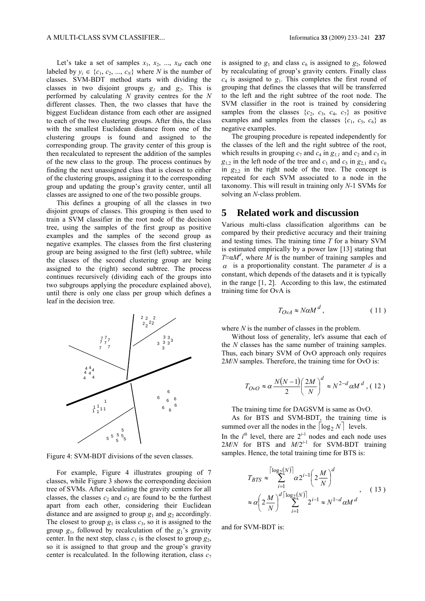Let's take a set of samples  $x_1$ ,  $x_2$ , ...,  $x_M$  each one labeled by  $y_i \in \{c_1, c_2, ..., c_N\}$  where *N* is the number of classes. SVM-BDT method starts with dividing the classes in two disjoint groups  $g_1$  and  $g_2$ . This is performed by calculating *N* gravity centres for the *N* different classes. Then, the two classes that have the biggest Euclidean distance from each other are assigned to each of the two clustering groups. After this, the class with the smallest Euclidean distance from one of the clustering groups is found and assigned to the corresponding group. The gravity center of this group is then recalculated to represent the addition of the samples of the new class to the group. The process continues by finding the next unassigned class that is closest to either of the clustering groups, assigning it to the corresponding group and updating the group's gravity center, until all classes are assigned to one of the two possible groups.

This defines a grouping of all the classes in two disjoint groups of classes. This grouping is then used to train a SVM classifier in the root node of the decision tree, using the samples of the first group as positive examples and the samples of the second group as negative examples. The classes from the first clustering group are being assigned to the first (left) subtree, while the classes of the second clustering group are being assigned to the (right) second subtree. The process continues recursively (dividing each of the groups into two subgroups applying the procedure explained above), until there is only one class per group which defines a leaf in the decision tree.



Figure 4: SVM-BDT divisions of the seven classes.

For example, Figure 4 illustrates grouping of 7 classes, while Figure 3 shows the corresponding decision tree of SVMs. After calculating the gravity centers for all classes, the classes  $c_2$  and  $c_5$  are found to be the furthest apart from each other, considering their Euclidean distance and are assigned to group  $g_1$  and  $g_2$  accordingly. The closest to group  $g_1$  is class  $c_3$ , so it is assigned to the group  $g_1$ , followed by recalculation of the  $g_1$ 's gravity center. In the next step, class  $c_1$  is the closest to group  $g_2$ , so it is assigned to that group and the group's gravity center is recalculated. In the following iteration, class  $c_7$ 

is assigned to  $g_1$  and class  $c_6$  is assigned to  $g_2$ , folowed by recalculating of group's gravity centers. Finally class *c*<sup>4</sup> is assigned to *g*1. This completes the first round of grouping that defines the classes that will be transferred to the left and the right subtree of the root node. The SVM classifier in the root is trained by considering samples from the classes  $\{c_2, c_3, c_4, c_7\}$  as positive examples and samples from the classes  ${c_1, c_5, c_6}$  as negative examples.

The grouping procedure is repeated independently for the classes of the left and the right subtree of the root, which results in grouping  $c_7$  and  $c_4$  in  $g_{11}$  and  $c_2$  and  $c_3$  in  $g_{12}$  in the left node of the tree and  $c_1$  and  $c_5$  in  $g_{21}$  and  $c_6$ in  $g_{22}$  in the right node of the tree. The concept is repeated for each SVM associated to a node in the taxonomy. This will result in training only *N*-1 SVMs for solving an *N*-class problem.

### **5 Related work and discussion**

Various multi-class classification algorithms can be compared by their predictive accuracy and their training and testing times. The training time *T* for a binary SVM is estimated empirically by a power law [13] stating that  $T \approx \alpha M^d$ , where *M* is the number of training samples and  $\alpha$  is a proportionality constant. The parameter  $d$  is a constant, which depends of the datasets and it is typically in the range [1, 2]. According to this law, the estimated training time for OvA is

$$
T_{OvA} \approx N\alpha M^d \,,\tag{11}
$$

where *N* is the number of classes in the problem.

Without loss of generality, let's assume that each of the *N* classes has the same number of training samples. Thus, each binary SVM of OvO approach only requires 2*M*/*N* samples. Therefore, the training time for OvO is:

$$
T_{OVO} \approx \alpha \frac{N(N-1)}{2} \left(\frac{2M}{N}\right)^d \approx N^{2-d} \alpha M^d , (12)
$$

The training time for DAGSVM is same as OvO.

As for BTS and SVM-BDT, the training time is summed over all the nodes in the  $\lceil \log_2 N \rceil$  levels. In the  $i^{th}$  level, there are  $2^{i-1}$  nodes and each node uses

 $2M/N$  for BTS and  $M/2^{i-1}$  for SVM-BDT training samples. Hence, the total training time for BTS is:

$$
T_{BTS} \approx \sum_{i=1}^{\lceil \log_2(N) \rceil} \alpha 2^{i-1} \left( 2 \frac{M}{N} \right)^d
$$
  
 
$$
\approx \alpha \left( 2 \frac{M}{N} \right)^{d \lceil \log_2(N) \rceil} 2^{i-1} \approx N^{1-d} \alpha M^d
$$
 (13)

and for SVM-BDT is: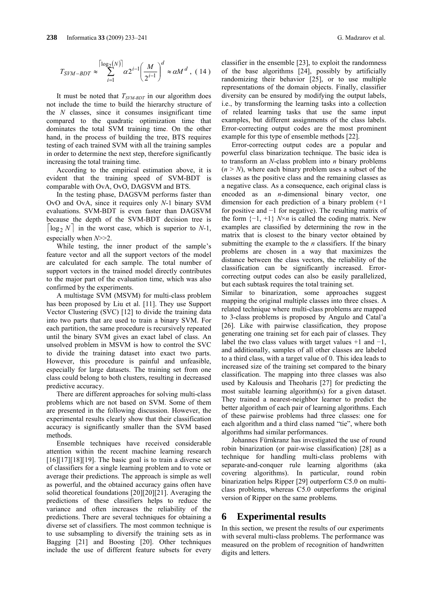$$
T_{SYM-BDT} \approx \sum_{i=1}^{\left\lceil \log_2(N) \right\rceil} \alpha 2^{i-1} \left( \frac{M}{2^{i-1}} \right)^d \approx \alpha M^d \,, \ (14)
$$

It must be noted that *TSVM-BDT* in our algorithm does not include the time to build the hierarchy structure of the *N* classes, since it consumes insignificant time compared to the quadratic optimization time that dominates the total SVM training time. On the other hand, in the process of building the tree, BTS requires testing of each trained SVM with all the training samples in order to determine the next step, therefore significantly increasing the total training time.

According to the empirical estimation above, it is evident that the training speed of SVM-BDT is comparable with OvA, OvO, DAGSVM and BTS.

In the testing phase, DAGSVM performs faster than OvO and OvA, since it requires only *N*-1 binary SVM evaluations. SVM-BDT is even faster than DAGSVM because the depth of the SVM-BDT decision tree is  $\lceil \log_2 N \rceil$  in the worst case, which is superior to *N*-1, especially when *N*>>2.

While testing, the inner product of the sample's feature vector and all the support vectors of the model are calculated for each sample. The total number of support vectors in the trained model directly contributes to the major part of the evaluation time, which was also confirmed by the experiments.

A multistage SVM (MSVM) for multi-class problem has been proposed by Liu et al. [11]. They use Support Vector Clustering (SVC) [12] to divide the training data into two parts that are used to train a binary SVM. For each partition, the same procedure is recursively repeated until the binary SVM gives an exact label of class. An unsolved problem in MSVM is how to control the SVC to divide the training dataset into exact two parts. However, this procedure is painful and unfeasible, especially for large datasets. The training set from one class could belong to both clusters, resulting in decreased predictive accuracy.

There are different approaches for solving multi-class problems which are not based on SVM. Some of them are presented in the following discussion. However, the experimental results clearly show that their classification accuracy is significantly smaller than the SVM based methods.

Ensemble techniques have received considerable attention within the recent machine learning research  $[16][17][18][19]$ . The basic goal is to train a diverse set of classifiers for a single learning problem and to vote or average their predictions. The approach is simple as well as powerful, and the obtained accuracy gains often have solid theoretical foundations [20][20][21]. Averaging the predictions of these classifiers helps to reduce the variance and often increases the reliability of the predictions. There are several techniques for obtaining a diverse set of classifiers. The most common technique is to use subsampling to diversify the training sets as in Bagging [21] and Boosting [20]. Other techniques include the use of different feature subsets for every

classifier in the ensemble [23], to exploit the randomness of the base algorithms [24], possibly by artificially randomizing their behavior [25], or to use multiple representations of the domain objects. Finally, classifier diversity can be ensured by modifying the output labels, i.e., by transforming the learning tasks into a collection of related learning tasks that use the same input examples, but different assignments of the class labels. Error-correcting output codes are the most prominent example for this type of ensemble methods [22].

Error-correcting output codes are a popular and powerful class binarization technique. The basic idea is to transform an *N*-class problem into *n* binary problems  $(n \geq N)$ , where each binary problem uses a subset of the classes as the positive class and the remaining classes as a negative class. As a consequence, each original class is encoded as an *n*-dimensional binary vector, one dimension for each prediction of a binary problem (+1 for positive and −1 for negative). The resulting matrix of the form  $\{-1, +1\}$  *N*×*n* is called the coding matrix. New examples are classified by determining the row in the matrix that is closest to the binary vector obtained by submitting the example to the *n* classifiers. If the binary problems are chosen in a way that maximizes the distance between the class vectors, the reliability of the classification can be significantly increased. Errorcorrecting output codes can also be easily parallelized, but each subtask requires the total training set.

Similar to binarization, some approaches suggest mapping the original multiple classes into three clsses. A related technique where multi-class problems are mapped to 3-class problems is proposed by Angulo and Catal'a [26]. Like with pairwise classification, they propose generating one training set for each pair of classes. They label the two class values with target values  $+1$  and  $-1$ , and additionally, samples of all other classes are labeled to a third class, with a target value of 0. This idea leads to increased size of the training set compared to the binary classification. The mapping into three classes was also used by Kalousis and Theoharis [27] for predicting the most suitable learning algorithm(s) for a given dataset. They trained a nearest-neighbor learner to predict the better algorithm of each pair of learning algorithms. Each of these pairwise problems had three classes: one for each algorithm and a third class named "tie", where both algorithms had similar performances.

Johannes Fürnkranz has investigated the use of round robin binarization (or pair-wise classification) [28] as a technique for handling multi-class problems with separate-and-conquer rule learning algorithms (aka covering algorithms). In particular, round robin binarization helps Ripper [29] outperform C5.0 on multiclass problems, whereas C5.0 outperforms the original version of Ripper on the same problems.

### **6 Experimental results**

In this section, we present the results of our experiments with several multi-class problems. The performance was measured on the problem of recognition of handwritten digits and letters.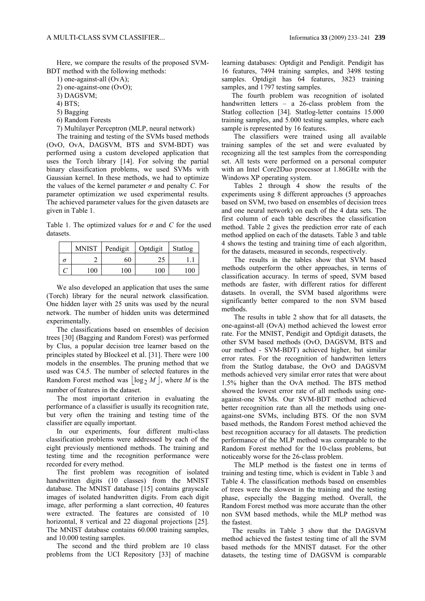Here, we compare the results of the proposed SVM-BDT method with the following methods:

1) one-against-all (OvA);

- 2) one-against-one (OvO);
- 3) DAGSVM;
- 4) BTS;
- 5) Bagging
- 6) Random Forests
- 7) Multilayer Perceptron (MLP, neural network)

The training and testing of the SVMs based methods (OvO, OvA, DAGSVM, BTS and SVM-BDT) was performed using a custom developed application that uses the Torch library [14]. For solving the partial binary classification problems, we used SVMs with Gaussian kernel. In these methods, we had to optimize the values of the kernel parameter  $\sigma$  and penalty *C*. For parameter optimization we used experimental results. The achieved parameter values for the given datasets are given in Table 1.

Table 1. The optimized values for *σ* and *C* for the used datasets.

| <b>MNIST</b> | Pendigit | Optdigit | Statlog |
|--------------|----------|----------|---------|
|              | 60       |          |         |
| 100          | 100      | 100      | 100     |

We also developed an application that uses the same (Torch) library for the neural network classification. One hidden layer with 25 units was used by the neural network. The number of hidden units was determined experimentally.

The classifications based on ensembles of decision trees [30] (Bagging and Random Forest) was performed by Clus, a popular decision tree learner based on the principles stated by Blockeel et al. [31]. There were 100 models in the ensembles. The pruning method that we used was C4.5. The number of selected features in the Random Forest method was  $\log_2 M$ , where *M* is the number of features in the dataset.

The most important criterion in evaluating the performance of a classifier is usually its recognition rate, but very often the training and testing time of the classifier are equally important.

In our experiments, four different multi-class classification problems were addressed by each of the eight previously mentioned methods. The training and testing time and the recognition performance were recorded for every method.

The first problem was recognition of isolated handwritten digits (10 classes) from the MNIST database. The MNIST database [15] contains grayscale images of isolated handwritten digits. From each digit image, after performing a slant correction, 40 features were extracted. The features are consisted of 10 horizontal, 8 vertical and 22 diagonal projections [25]. The MNIST database contains 60.000 training samples, and 10.000 testing samples.

The second and the third problem are 10 class problems from the UCI Repository [33] of machine learning databases: Optdigit and Pendigit. Pendigit has 16 features, 7494 training samples, and 3498 testing samples. Optdigit has 64 features, 3823 training samples, and 1797 testing samples.

The fourth problem was recognition of isolated handwritten letters – a 26-class problem from the Statlog collection [34]. Statlog-letter contains 15.000 training samples, and 5.000 testing samples, where each sample is represented by 16 features.

The classifiers were trained using all available training samples of the set and were evaluated by recognizing all the test samples from the corresponding set. All tests were performed on a personal computer with an Intel Core2Duo processor at 1.86GHz with the Windows XP operating system.

Tables 2 through 4 show the results of the experiments using 8 different approaches (5 approaches based on SVM, two based on ensembles of decision trees and one neural network) on each of the 4 data sets. The first column of each table describes the classification method. Table 2 gives the prediction error rate of each method applied on each of the datasets. Table 3 and table 4 shows the testing and training time of each algorithm, for the datasets, measured in seconds, respectively.

The results in the tables show that SVM based methods outperform the other approaches, in terms of classification accuracy. In terms of speed, SVM based methods are faster, with different ratios for different datasets. In overall, the SVM based algorithms were significantly better compared to the non SVM based methods.

The results in table 2 show that for all datasets, the one-against-all (OvA) method achieved the lowest error rate. For the MNIST, Pendigit and Optdigit datasets, the other SVM based methods (OvO, DAGSVM, BTS and our method - SVM-BDT) achieved higher, but similar error rates. For the recognition of handwritten letters from the Statlog database, the OvO and DAGSVM methods achieved very similar error rates that were about 1.5% higher than the OvA method. The BTS method showed the lowest error rate of all methods using oneagainst-one SVMs. Our SVM-BDT method achieved better recognition rate than all the methods using oneagainst-one SVMs, including BTS. Of the non SVM based methods, the Random Forest method achieved the best recognition accuracy for all datasets. The prediction performance of the MLP method was comparable to the Random Forest method for the 10-class problems, but noticeably worse for the 26-class problem.

The MLP method is the fastest one in terms of training and testing time, which is evident in Table 3 and Table 4. The classification methods based on ensembles of trees were the slowest in the training and the testing phase, especially the Bagging method. Overall, the Random Forest method was more accurate than the other non SVM based methods, while the MLP method was the fastest.

The results in Table 3 show that the DAGSVM method achieved the fastest testing time of all the SVM based methods for the MNIST dataset. For the other datasets, the testing time of DAGSVM is comparable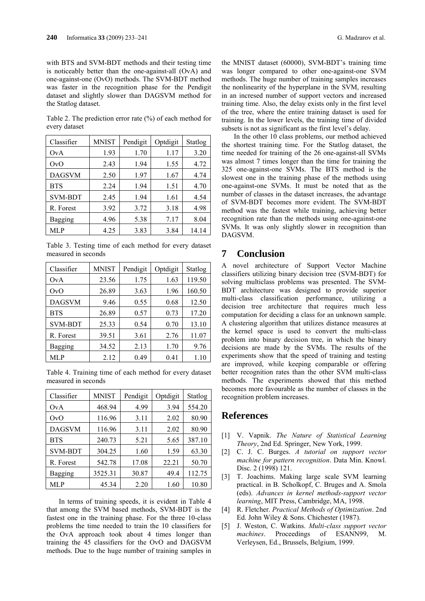with BTS and SVM-BDT methods and their testing time is noticeably better than the one-against-all (OvA) and one-against-one (OvO) methods. The SVM-BDT method was faster in the recognition phase for the Pendigit dataset and slightly slower than DAGSVM method for the Statlog dataset.

Table 2. The prediction error rate (%) of each method for every dataset

| Classifier     | <b>MNIST</b> | Pendigit | Optdigit | Statlog |
|----------------|--------------|----------|----------|---------|
| OvA            | 1.93         | 1.70     | 1.17     | 3.20    |
| OvO            | 2.43         | 1.94     | 1.55     | 4.72    |
| <b>DAGSVM</b>  | 2.50         | 1.97     | 1.67     | 4.74    |
| <b>BTS</b>     | 2.24         | 1.94     | 1.51     | 4.70    |
| <b>SVM-BDT</b> | 2.45         | 1.94     | 1.61     | 4.54    |
| R. Forest      | 3.92         | 3.72     | 3.18     | 4.98    |
| Bagging        | 4.96         | 5.38     | 7.17     | 8.04    |
| MLP            | 4.25         | 3.83     | 3.84     | 14.14   |

Table 3. Testing time of each method for every dataset measured in seconds

| Classifier       | <b>MNIST</b> | Pendigit | Optdigit | Statlog |
|------------------|--------------|----------|----------|---------|
| OvA              | 23.56        | 1.75     | 1.63     | 119.50  |
| O <sub>V</sub> O | 26.89        | 3.63     | 1.96     | 160.50  |
| <b>DAGSVM</b>    | 9.46         | 0.55     | 0.68     | 12.50   |
| <b>BTS</b>       | 26.89        | 0.57     | 0.73     | 17.20   |
| <b>SVM-BDT</b>   | 25.33        | 0.54     | 0.70     | 13.10   |
| R. Forest        | 39.51        | 3.61     | 2.76     | 11.07   |
| Bagging          | 34.52        | 2.13     | 1.70     | 9.76    |
| MLP              | 2.12         | 0.49     | 0.41     | 1.10    |

Table 4. Training time of each method for every dataset measured in seconds

| Classifier     | <b>MNIST</b> | Pendigit | Optdigit | Statlog |
|----------------|--------------|----------|----------|---------|
| OvA            | 468.94       | 4.99     | 3.94     | 554.20  |
| OvO            | 116.96       | 3.11     | 2.02     | 80.90   |
| DAGSVM         | 116.96       | 3.11     | 2.02     | 80.90   |
| <b>BTS</b>     | 240.73       | 5.21     | 5.65     | 387.10  |
| <b>SVM-BDT</b> | 304.25       | 1.60     | 1.59     | 63.30   |
| R. Forest      | 542.78       | 17.08    | 22.21    | 50.70   |
| Bagging        | 3525.31      | 30.87    | 49.4     | 112.75  |
| MLP            | 45.34        | 2.20     | 1.60     | 10.80   |

In terms of training speeds, it is evident in Table 4 that among the SVM based methods, SVM-BDT is the fastest one in the training phase. For the three 10-class problems the time needed to train the 10 classifiers for the OvA approach took about 4 times longer than training the 45 classifiers for the OvO and DAGSVM methods. Due to the huge number of training samples in the MNIST dataset (60000), SVM-BDT's training time was longer compared to other one-against-one SVM methods. The huge number of training samples increases the nonlinearity of the hyperplane in the SVM, resulting in an incresed number of support vectors and increased training time. Also, the delay exists only in the first level of the tree, where the entire training dataset is used for training. In the lower levels, the training time of divided subsets is not as significant as the first level's delay.

In the other 10 class problems, our method achieved the shortest training time. For the Statlog dataset, the time needed for training of the 26 one-against-all SVMs was almost 7 times longer than the time for training the 325 one-against-one SVMs. The BTS method is the slowest one in the training phase of the methods using one-against-one SVMs. It must be noted that as the number of classes in the dataset increases, the advantage of SVM-BDT becomes more evident. The SVM-BDT method was the fastest while training, achieving better recognition rate than the methods using one-against-one SVMs. It was only slightly slower in recognition than DAGSVM.

## **7 Conclusion**

A novel architecture of Support Vector Machine classifiers utilizing binary decision tree (SVM-BDT) for solving multiclass problems was presented. The SVM-BDT architecture was designed to provide superior multi-class classification performance, utilizing a decision tree architecture that requires much less computation for deciding a class for an unknown sample. A clustering algorithm that utilizes distance measures at the kernel space is used to convert the multi-class problem into binary decision tree, in which the binary decisions are made by the SVMs. The results of the experiments show that the speed of training and testing are improved, while keeping comparable or offering better recognition rates than the other SVM multi-class methods. The experiments showed that this method becomes more favourable as the number of classes in the recognition problem increases.

### **References**

- [1] V. Vapnik. *The Nature of Statistical Learning Theory*, 2nd Ed. Springer, New York, 1999.
- [2] C. J. C. Burges. *A tutorial on support vector machine for pattern recognition*. Data Min. Knowl. Disc. 2 (1998) 121.
- [3] T. Joachims. Making large scale SVM learning practical. in B. Scholkopf, C. Bruges and A. Smola (eds). *Advances in kernel methods-support vector learning*, MIT Press, Cambridge, MA, 1998.
- [4] R. Fletcher. *Practical Methods of Optimization*. 2nd Ed. John Wiley & Sons. Chichester (1987).
- [5] J. Weston, C. Watkins. *Multi-class support vector machines*. Proceedings of ESANN99, M. Verleysen, Ed., Brussels, Belgium, 1999.